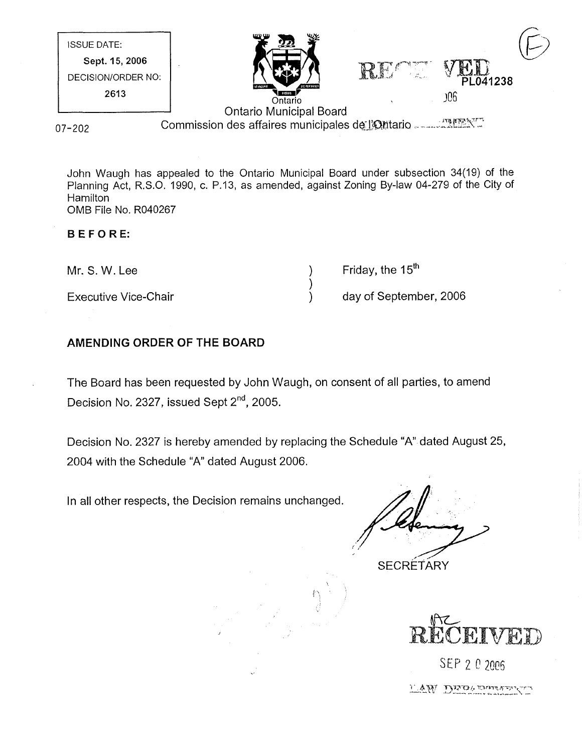| <b>ISSUE DATE:</b> | ₩<br>mn n<br>$\overline{\mathbf{w}}$ |               |                                                                                 |
|--------------------|--------------------------------------|---------------|---------------------------------------------------------------------------------|
| Sept. 15, 2006     |                                      |               |                                                                                 |
| DECISION/ORDER NO: | <b>SIC FIBRICATE</b>                 | 홙<br>الأسهادة | PL041238                                                                        |
| 2613               | 111001911<br>Ontario                 |               | )06                                                                             |
|                    | <b>Ontario Municipal Board</b>       |               | the contract of the property of the property of the contract of the property of |

07-202

Commission des affaires municipales de l'Ontario ........... INGENT

John Waugh has appealed to the Ontario Municipal Board under subsection 34(19) of the Planning Act, R.S.O. 1990, c. P.13, as amended, against Zoning By-law 04-279 of the City of **Hamilton** OMB File No. R040267

#### BEFORE:

| Mr. S. W. Lee               | Friday, the 15 <sup>th</sup> |
|-----------------------------|------------------------------|
|                             |                              |
| <b>Executive Vice-Chair</b> | day of September, 2006       |

## AMENDING ORDER OF THE BOARD

The Board has been requested by John Waugh, on consent of all parties, to amend Decision No. 2327, issued Sept  $2^{nd}$ , 2005.

Decision No. 2327 is hereby amended by replacing the Schedule "A" dated August 25, 2004 with the Schedule "A" dated August 2006.

 $\ell^{\chi}$ 

In all other respects, the Decision remains unchanged.

**SECRETARY** 



SEP 2 0 2006 LAW DIRA THERAPY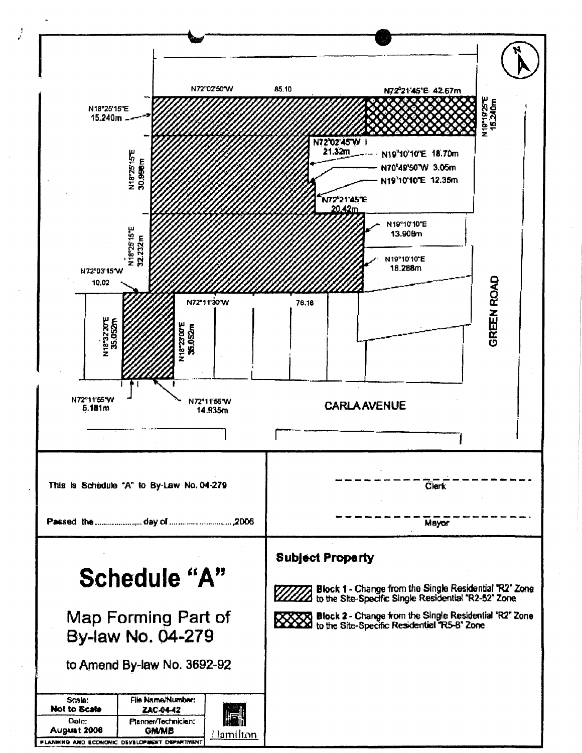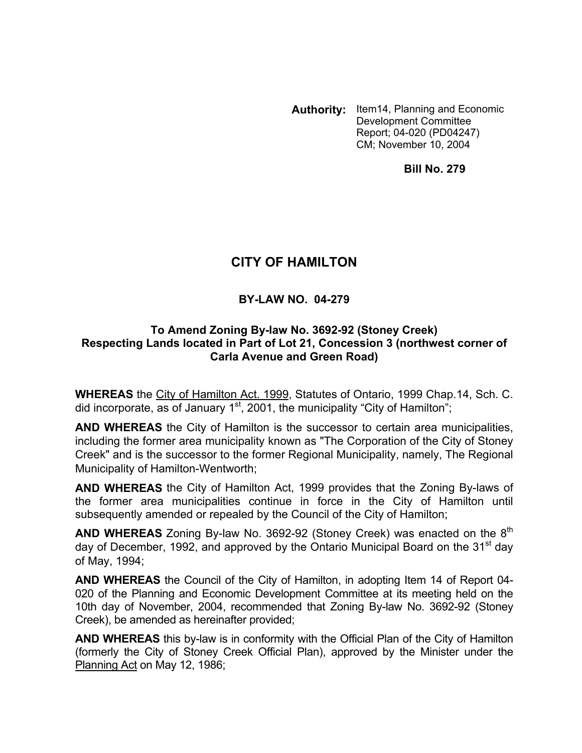**Authority:** Item14, Planning and Economic Development Committee Report; 04-020 (PD04247) CM; November 10, 2004

**Bill No. 279** 

# **CITY OF HAMILTON**

#### **BY-LAW NO. 04-279**

#### **To Amend Zoning By-law No. 3692-92 (Stoney Creek) Respecting Lands located in Part of Lot 21, Concession 3 (northwest corner of Carla Avenue and Green Road)**

**WHEREAS** the City of Hamilton Act. 1999, Statutes of Ontario, 1999 Chap.14, Sch. C. did incorporate, as of January  $1<sup>st</sup>$ , 2001, the municipality "City of Hamilton";

**AND WHEREAS** the City of Hamilton is the successor to certain area municipalities, including the former area municipality known as "The Corporation of the City of Stoney Creek" and is the successor to the former Regional Municipality, namely, The Regional Municipality of Hamilton-Wentworth;

**AND WHEREAS** the City of Hamilton Act, 1999 provides that the Zoning By-laws of the former area municipalities continue in force in the City of Hamilton until subsequently amended or repealed by the Council of the City of Hamilton;

**AND WHEREAS** Zoning By-law No. 3692-92 (Stoney Creek) was enacted on the 8<sup>th</sup> day of December, 1992, and approved by the Ontario Municipal Board on the 31<sup>st</sup> day of May, 1994;

**AND WHEREAS** the Council of the City of Hamilton, in adopting Item 14 of Report 04- 020 of the Planning and Economic Development Committee at its meeting held on the 10th day of November, 2004, recommended that Zoning By-law No. 3692-92 (Stoney Creek), be amended as hereinafter provided;

**AND WHEREAS** this by-law is in conformity with the Official Plan of the City of Hamilton (formerly the City of Stoney Creek Official Plan), approved by the Minister under the Planning Act on May 12, 1986;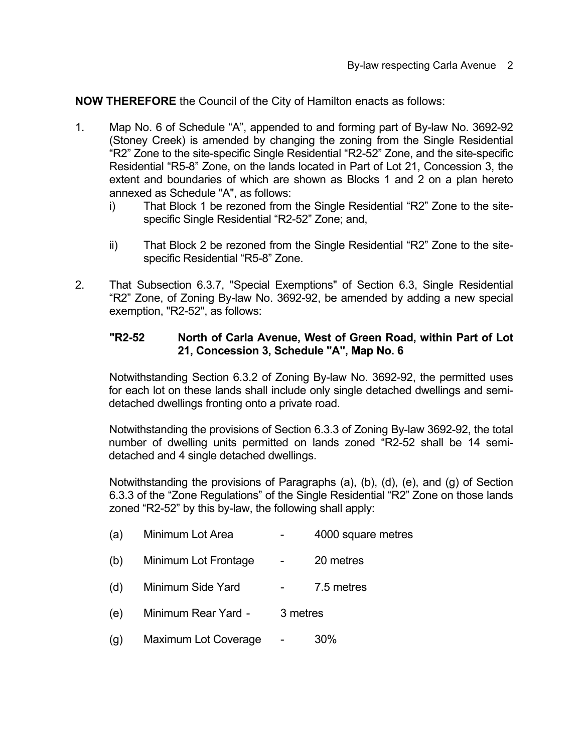**NOW THEREFORE** the Council of the City of Hamilton enacts as follows:

- 1. Map No. 6 of Schedule "A", appended to and forming part of By-law No. 3692-92 (Stoney Creek) is amended by changing the zoning from the Single Residential "R2" Zone to the site-specific Single Residential "R2-52" Zone, and the site-specific Residential "R5-8" Zone, on the lands located in Part of Lot 21, Concession 3, the extent and boundaries of which are shown as Blocks 1 and 2 on a plan hereto annexed as Schedule "A", as follows:
	- i) That Block 1 be rezoned from the Single Residential "R2" Zone to the sitespecific Single Residential "R2-52" Zone; and,
	- ii) That Block 2 be rezoned from the Single Residential "R2" Zone to the sitespecific Residential "R5-8" Zone.
- 2. That Subsection 6.3.7, "Special Exemptions" of Section 6.3, Single Residential "R2" Zone, of Zoning By-law No. 3692-92, be amended by adding a new special exemption, "R2-52", as follows:

### **"R2-52 North of Carla Avenue, West of Green Road, within Part of Lot 21, Concession 3, Schedule "A", Map No. 6**

Notwithstanding Section 6.3.2 of Zoning By-law No. 3692-92, the permitted uses for each lot on these lands shall include only single detached dwellings and semidetached dwellings fronting onto a private road.

Notwithstanding the provisions of Section 6.3.3 of Zoning By-law 3692-92, the total number of dwelling units permitted on lands zoned "R2-52 shall be 14 semidetached and 4 single detached dwellings.

Notwithstanding the provisions of Paragraphs (a), (b), (d), (e), and (g) of Section 6.3.3 of the "Zone Regulations" of the Single Residential "R2" Zone on those lands zoned "R2-52" by this by-law, the following shall apply:

| (a) | Minimum Lot Area     | 4000 square metres |  |
|-----|----------------------|--------------------|--|
| (b) | Minimum Lot Frontage | 20 metres          |  |
| (d) | Minimum Side Yard    | 7.5 metres         |  |
| (e) | Minimum Rear Yard -  | 3 metres           |  |
| (g) | Maximum Lot Coverage | 30%                |  |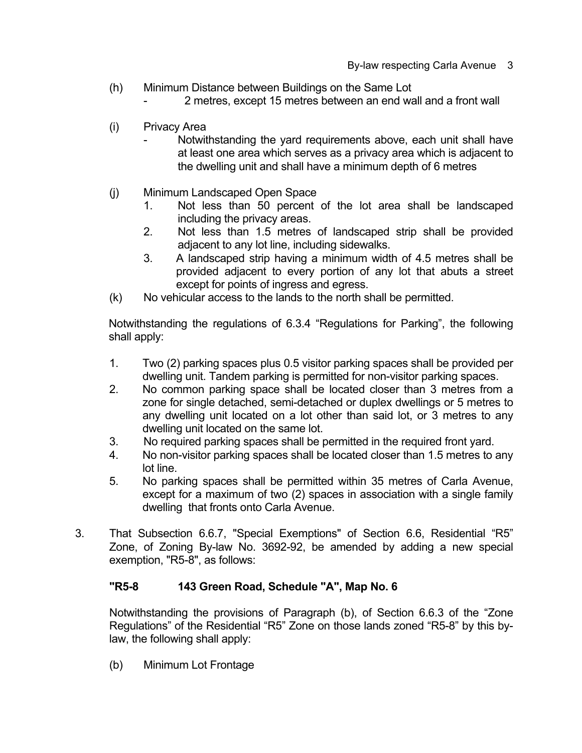- (h) Minimum Distance between Buildings on the Same Lot
	- 2 metres, except 15 metres between an end wall and a front wall
- (i) Privacy Area
	- Notwithstanding the yard requirements above, each unit shall have at least one area which serves as a privacy area which is adjacent to the dwelling unit and shall have a minimum depth of 6 metres
- (j) Minimum Landscaped Open Space
	- 1. Not less than 50 percent of the lot area shall be landscaped including the privacy areas.
	- 2. Not less than 1.5 metres of landscaped strip shall be provided adjacent to any lot line, including sidewalks.
	- 3. A landscaped strip having a minimum width of 4.5 metres shall be provided adjacent to every portion of any lot that abuts a street except for points of ingress and egress.
- (k) No vehicular access to the lands to the north shall be permitted.

 Notwithstanding the regulations of 6.3.4 "Regulations for Parking", the following shall apply:

- 1. Two (2) parking spaces plus 0.5 visitor parking spaces shall be provided per dwelling unit. Tandem parking is permitted for non-visitor parking spaces.
- 2. No common parking space shall be located closer than 3 metres from a zone for single detached, semi-detached or duplex dwellings or 5 metres to any dwelling unit located on a lot other than said lot, or 3 metres to any dwelling unit located on the same lot.
- 3. No required parking spaces shall be permitted in the required front yard.
- 4. No non-visitor parking spaces shall be located closer than 1.5 metres to any lot line.
- 5. No parking spaces shall be permitted within 35 metres of Carla Avenue, except for a maximum of two (2) spaces in association with a single family dwelling that fronts onto Carla Avenue.
- 3. That Subsection 6.6.7, "Special Exemptions" of Section 6.6, Residential "R5" Zone, of Zoning By-law No. 3692-92, be amended by adding a new special exemption, "R5-8", as follows:

#### **"R5-8 143 Green Road, Schedule "A", Map No. 6**

Notwithstanding the provisions of Paragraph (b), of Section 6.6.3 of the "Zone Regulations" of the Residential "R5" Zone on those lands zoned "R5-8" by this bylaw, the following shall apply:

(b) Minimum Lot Frontage